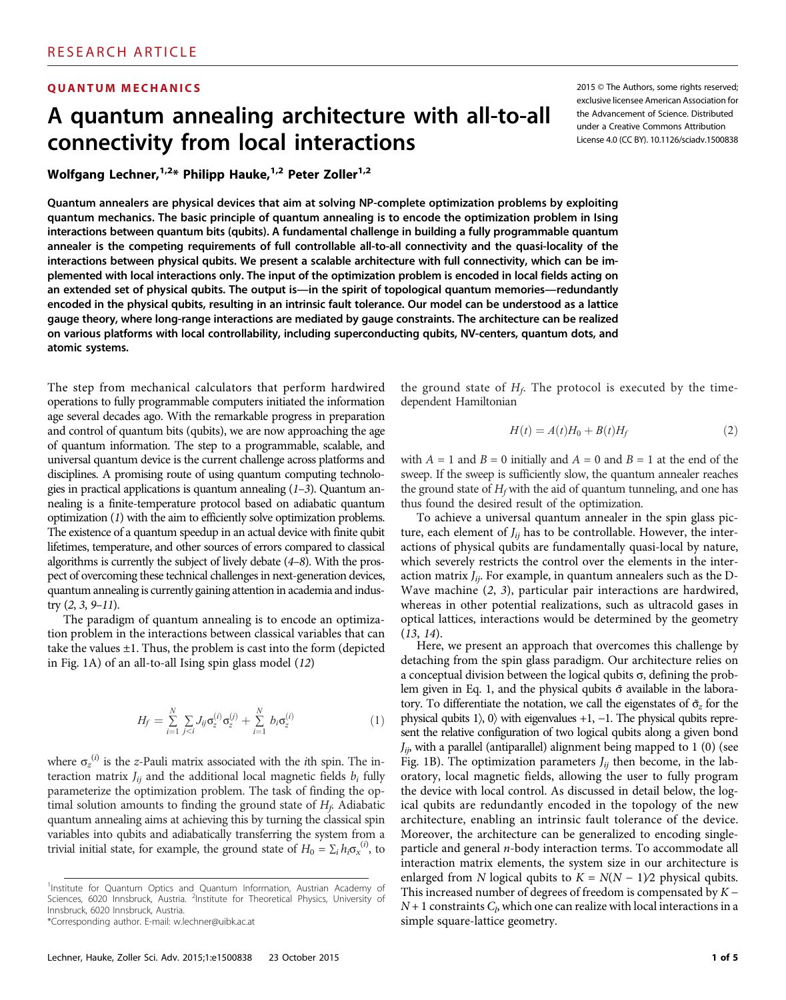# A quantum annealing architecture with all-to-all connectivity from local interactions

Wolfgang Lechner,<sup>1,2\*</sup> Philipp Hauke,<sup>1,2</sup> Peter Zoller<sup>1,2</sup>

Quantum annealers are physical devices that aim at solving NP-complete optimization problems by exploiting quantum mechanics. The basic principle of quantum annealing is to encode the optimization problem in Ising interactions between quantum bits (qubits). A fundamental challenge in building a fully programmable quantum annealer is the competing requirements of full controllable all-to-all connectivity and the quasi-locality of the interactions between physical qubits. We present a scalable architecture with full connectivity, which can be implemented with local interactions only. The input of the optimization problem is encoded in local fields acting on an extended set of physical qubits. The output is—in the spirit of topological quantum memories—redundantly encoded in the physical qubits, resulting in an intrinsic fault tolerance. Our model can be understood as a lattice gauge theory, where long-range interactions are mediated by gauge constraints. The architecture can be realized on various platforms with local controllability, including superconducting qubits, NV-centers, quantum dots, and atomic systems.

The step from mechanical calculators that perform hardwired operations to fully programmable computers initiated the information age several decades ago. With the remarkable progress in preparation and control of quantum bits (qubits), we are now approaching the age of quantum information. The step to a programmable, scalable, and universal quantum device is the current challenge across platforms and disciplines. A promising route of using quantum computing technologies in practical applications is quantum annealing  $(1-3)$ . Quantum annealing is a finite-temperature protocol based on adiabatic quantum optimization (1) with the aim to efficiently solve optimization problems. The existence of a quantum speedup in an actual device with finite qubit lifetimes, temperature, and other sources of errors compared to classical algorithms is currently the subject of lively debate (4–8). With the prospect of overcoming these technical challenges in next-generation devices, quantum annealing is currently gaining attention in academia and industry  $(2, 3, 9-11)$ .

The paradigm of quantum annealing is to encode an optimization problem in the interactions between classical variables that can take the values ±1. Thus, the problem is cast into the form (depicted in Fig. 1A) of an all-to-all Ising spin glass model (12)

$$
H_f = \sum_{i=1}^{N} \sum_{j(1)
$$

where  $\sigma_z^{(i)}$  is the z-Pauli matrix associated with the *i*th spin. The interaction matrix  $J_{ij}$  and the additional local magnetic fields  $b_i$  fully parameterize the optimization problem. The task of finding the optimal solution amounts to finding the ground state of  $H_f$ . Adiabatic quantum annealing aims at achieving this by turning the classical spin variables into qubits and adiabatically transferring the system from a trivial initial state, for example, the ground state of  $H_0 = \sum_i h_i \sigma_x^{(i)}$ , to

\*Corresponding author. E-mail: w.lechner@uibk.ac.at

**QUANTUM MECHANICS 2015 CHANICS 2015 CHANICS 2016 2016 2016 2016 2016 2016 2016 2016 2016 2016 2016 2016 2016 2017 2016 2017 2018 2017 2018 2018 2018 2018 2018 2019 202** exclusive licensee American Association for the Advancement of Science. Distributed under a Creative Commons Attribution License 4.0 (CC BY). 10.1126/sciadv.1500838

> the ground state of  $H_f$ . The protocol is executed by the timedependent Hamiltonian

$$
H(t) = A(t)H_0 + B(t)H_f
$$
\n(2)

with  $A = 1$  and  $B = 0$  initially and  $A = 0$  and  $B = 1$  at the end of the sweep. If the sweep is sufficiently slow, the quantum annealer reaches the ground state of  $H_f$  with the aid of quantum tunneling, and one has thus found the desired result of the optimization.

To achieve a universal quantum annealer in the spin glass picture, each element of  $J_{ij}$  has to be controllable. However, the interactions of physical qubits are fundamentally quasi-local by nature, which severely restricts the control over the elements in the interaction matrix  $J_{ii}$ . For example, in quantum annealers such as the D-Wave machine (2, 3), particular pair interactions are hardwired, whereas in other potential realizations, such as ultracold gases in optical lattices, interactions would be determined by the geometry  $(13, 14)$ .

Here, we present an approach that overcomes this challenge by detaching from the spin glass paradigm. Our architecture relies on a conceptual division between the logical qubits  $\sigma$ , defining the problem given in Eq. 1, and the physical qubits  $\tilde{\sigma}$  available in the laboratory. To differentiate the notation, we call the eigenstates of  $\tilde{\sigma}_z$  for the physical qubits 1 $\rangle$ , 0 $\rangle$  with eigenvalues +1, -1. The physical qubits represent the relative configuration of two logical qubits along a given bond  $J_{ij}$ , with a parallel (antiparallel) alignment being mapped to 1 (0) (see Fig. 1B). The optimization parameters  $J_{ii}$  then become, in the laboratory, local magnetic fields, allowing the user to fully program the device with local control. As discussed in detail below, the logical qubits are redundantly encoded in the topology of the new architecture, enabling an intrinsic fault tolerance of the device. Moreover, the architecture can be generalized to encoding singleparticle and general *n*-body interaction terms. To accommodate all interaction matrix elements, the system size in our architecture is enlarged from N logical qubits to  $K = N(N - 1)/2$  physical qubits. This increased number of degrees of freedom is compensated by  $K N+1$  constraints  $C_b$ , which one can realize with local interactions in a simple square-lattice geometry.

<sup>&</sup>lt;sup>1</sup>Institute for Quantum Optics and Quantum Information, Austrian Academy of Sciences, 6020 Innsbruck, Austria. <sup>2</sup>Institute for Theoretical Physics, University of Innsbruck, 6020 Innsbruck, Austria.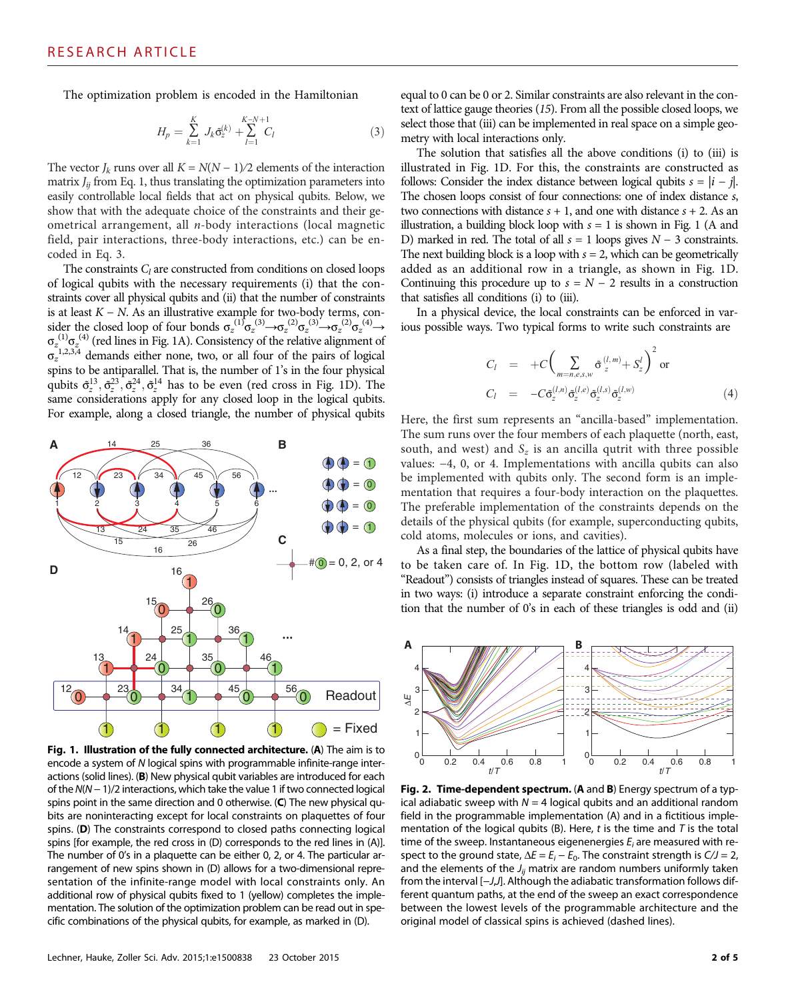The optimization problem is encoded in the Hamiltonian

$$
H_p = \sum_{k=1}^{K} J_k \tilde{\sigma}_z^{(k)} + \sum_{l=1}^{K-N+1} C_l
$$
 (3)

The vector  $J_k$  runs over all  $K = N(N - 1)/2$  elements of the interaction matrix  $J_{ii}$  from Eq. 1, thus translating the optimization parameters into easily controllable local fields that act on physical qubits. Below, we show that with the adequate choice of the constraints and their geometrical arrangement, all n-body interactions (local magnetic field, pair interactions, three-body interactions, etc.) can be encoded in Eq. 3.

The constraints  $C_l$  are constructed from conditions on closed loops of logical qubits with the necessary requirements (i) that the constraints cover all physical qubits and (ii) that the number of constraints is at least  $K - N$ . As an illustrative example for two-body terms, consider the closed loop of four bonds  $\sigma_z^{(1)}\sigma_z^{(3)} \rightarrow \sigma_z^{(2)}\sigma_z^{(3)} \rightarrow \sigma_z^{(2)}\sigma_z^{(4)} \rightarrow$  $\sigma_z^{(1)}\sigma_z^{(4)}$  (red lines in Fig. 1A). Consistency of the relative alignment of  $\sigma_z^{-1,2,3,4}$  demands either none, two, or all four of the pairs of logical spins to be antiparallel. That is, the number of 1's in the four physical qubits  $\tilde{\sigma}_z^{13}, \tilde{\sigma}_z^{23}, \tilde{\sigma}_z^{24}, \tilde{\sigma}_z^{14}$  has to be even (red cross in Fig. 1D). The same considerations apply for any closed loop in the logical qubits. For example, along a closed triangle, the number of physical qubits



Fig. 1. Illustration of the fully connected architecture. (A) The aim is to encode a system of N logical spins with programmable infinite-range interactions (solid lines). (B) New physical qubit variables are introduced for each of the N(N − 1)/2 interactions, which take the value 1 if two connected logical spins point in the same direction and 0 otherwise. (C) The new physical qubits are noninteracting except for local constraints on plaquettes of four spins. (D) The constraints correspond to closed paths connecting logical spins [for example, the red cross in (D) corresponds to the red lines in (A)]. The number of 0's in a plaquette can be either 0, 2, or 4. The particular arrangement of new spins shown in (D) allows for a two-dimensional representation of the infinite-range model with local constraints only. An additional row of physical qubits fixed to 1 (yellow) completes the implementation. The solution of the optimization problem can be read out in specific combinations of the physical qubits, for example, as marked in (D).

equal to 0 can be 0 or 2. Similar constraints are also relevant in the context of lattice gauge theories (15). From all the possible closed loops, we select those that (iii) can be implemented in real space on a simple geometry with local interactions only.

The solution that satisfies all the above conditions (i) to (iii) is illustrated in Fig. 1D. For this, the constraints are constructed as follows: Consider the index distance between logical qubits  $s = |i - j|$ . The chosen loops consist of four connections: one of index distance s, two connections with distance  $s + 1$ , and one with distance  $s + 2$ . As an illustration, a building block loop with  $s = 1$  is shown in Fig. 1 (A and D) marked in red. The total of all  $s = 1$  loops gives  $N - 3$  constraints. The next building block is a loop with  $s = 2$ , which can be geometrically added as an additional row in a triangle, as shown in Fig. 1D. Continuing this procedure up to  $s = N - 2$  results in a construction that satisfies all conditions (i) to (iii).

In a physical device, the local constraints can be enforced in various possible ways. Two typical forms to write such constraints are

$$
C_l = +C \bigg( \sum_{m=n,e,s,w} \tilde{\sigma}_z^{(l,m)} + S_z^l \bigg)^2 \text{ or}
$$
  
\n
$$
C_l = -C \tilde{\sigma}_z^{(l,n)} \tilde{\sigma}_z^{(l,e)} \tilde{\sigma}_z^{(l,s)} \tilde{\sigma}_z^{(l,w)}
$$
\n(4)

Here, the first sum represents an "ancilla-based" implementation. The sum runs over the four members of each plaquette (north, east, south, and west) and  $S_z$  is an ancilla qutrit with three possible values: −4, 0, or 4. Implementations with ancilla qubits can also be implemented with qubits only. The second form is an implementation that requires a four-body interaction on the plaquettes. The preferable implementation of the constraints depends on the details of the physical qubits (for example, superconducting qubits, cold atoms, molecules or ions, and cavities).

As a final step, the boundaries of the lattice of physical qubits have to be taken care of. In Fig. 1D, the bottom row (labeled with "Readout") consists of triangles instead of squares. These can be treated in two ways: (i) introduce a separate constraint enforcing the condition that the number of 0's in each of these triangles is odd and (ii)



Fig. 2. Time-dependent spectrum. (A and B) Energy spectrum of a typical adiabatic sweep with  $N = 4$  logical qubits and an additional random field in the programmable implementation (A) and in a fictitious implementation of the logical qubits (B). Here, t is the time and  $T$  is the total time of the sweep. Instantaneous eigenenergies  $E_i$  are measured with respect to the ground state,  $\Delta E = E_i - E_0$ . The constraint strength is  $C/J = 2$ , and the elements of the  $J_{ii}$  matrix are random numbers uniformly taken from the interval [−J,J]. Although the adiabatic transformation follows different quantum paths, at the end of the sweep an exact correspondence between the lowest levels of the programmable architecture and the original model of classical spins is achieved (dashed lines).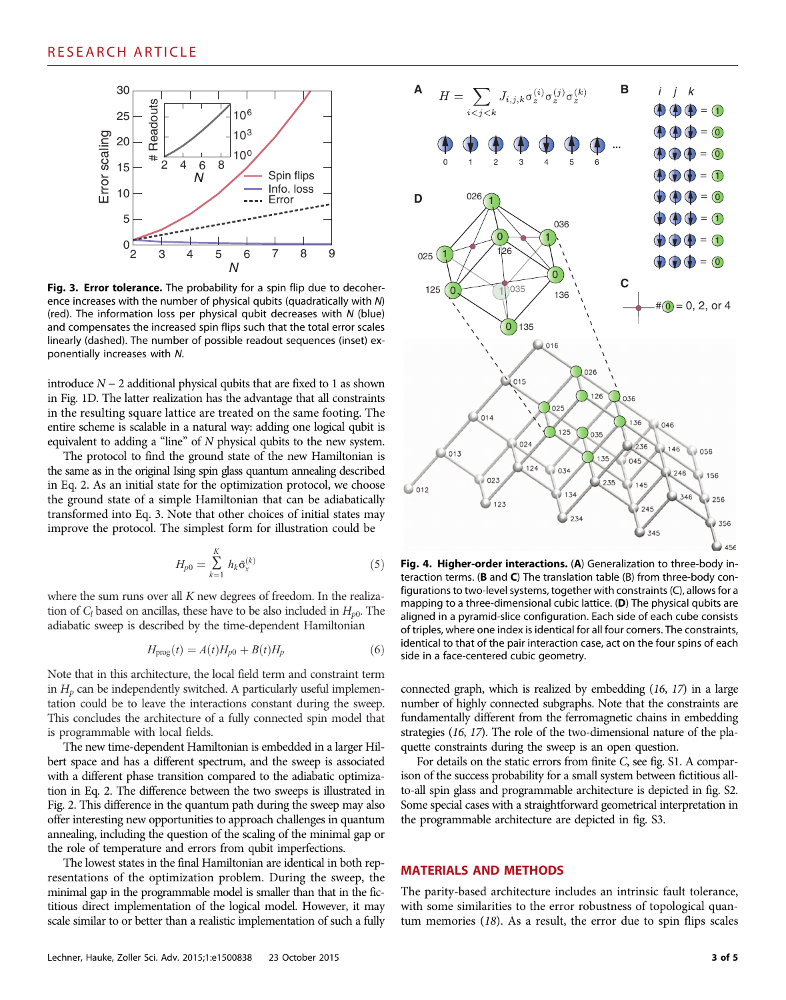

Fig. 3. Error tolerance. The probability for a spin flip due to decoherence increases with the number of physical qubits (quadratically with N) (red). The information loss per physical qubit decreases with N (blue) and compensates the increased spin flips such that the total error scales linearly (dashed). The number of possible readout sequences (inset) exponentially increases with N.

introduce  $N − 2$  additional physical qubits that are fixed to 1 as shown in Fig. 1D. The latter realization has the advantage that all constraints in the resulting square lattice are treated on the same footing. The entire scheme is scalable in a natural way: adding one logical qubit is equivalent to adding a "line" of N physical qubits to the new system.

The protocol to find the ground state of the new Hamiltonian is the same as in the original Ising spin glass quantum annealing described in Eq. 2. As an initial state for the optimization protocol, we choose the ground state of a simple Hamiltonian that can be adiabatically transformed into Eq. 3. Note that other choices of initial states may improve the protocol. The simplest form for illustration could be

$$
H_{p0} = \sum_{k=1}^{K} h_k \tilde{\sigma}_x^{(k)}
$$
 (5)

where the sum runs over all  $K$  new degrees of freedom. In the realization of  $C_l$  based on ancillas, these have to be also included in  $H_{p0}$ . The adiabatic sweep is described by the time-dependent Hamiltonian

$$
H_{\text{prog}}(t) = A(t)H_{p0} + B(t)H_p \tag{6}
$$

Note that in this architecture, the local field term and constraint term in  $H_p$  can be independently switched. A particularly useful implementation could be to leave the interactions constant during the sweep. This concludes the architecture of a fully connected spin model that is programmable with local fields.

The new time-dependent Hamiltonian is embedded in a larger Hilbert space and has a different spectrum, and the sweep is associated with a different phase transition compared to the adiabatic optimization in Eq. 2. The difference between the two sweeps is illustrated in Fig. 2. This difference in the quantum path during the sweep may also offer interesting new opportunities to approach challenges in quantum annealing, including the question of the scaling of the minimal gap or the role of temperature and errors from qubit imperfections.

The lowest states in the final Hamiltonian are identical in both representations of the optimization problem. During the sweep, the minimal gap in the programmable model is smaller than that in the fictitious direct implementation of the logical model. However, it may scale similar to or better than a realistic implementation of such a fully



Fig. 4. Higher-order interactions. (A) Generalization to three-body interaction terms. ( $\bf{B}$  and  $\bf{C}$ ) The translation table ( $\bf{B}$ ) from three-body configurations to two-level systems, together with constraints (C), allows for a mapping to a three-dimensional cubic lattice. (D) The physical qubits are aligned in a pyramid-slice configuration. Each side of each cube consists of triples, where one index is identical for all four corners. The constraints, identical to that of the pair interaction case, act on the four spins of each side in a face-centered cubic geometry.

connected graph, which is realized by embedding (16, 17) in a large number of highly connected subgraphs. Note that the constraints are fundamentally different from the ferromagnetic chains in embedding strategies (16, 17). The role of the two-dimensional nature of the plaquette constraints during the sweep is an open question.

For details on the static errors from finite C, see fig. S1. A comparison of the success probability for a small system between fictitious allto-all spin glass and programmable architecture is depicted in fig. S2. Some special cases with a straightforward geometrical interpretation in the programmable architecture are depicted in fig. S3.

## MATERIALS AND METHODS

The parity-based architecture includes an intrinsic fault tolerance, with some similarities to the error robustness of topological quantum memories (18). As a result, the error due to spin flips scales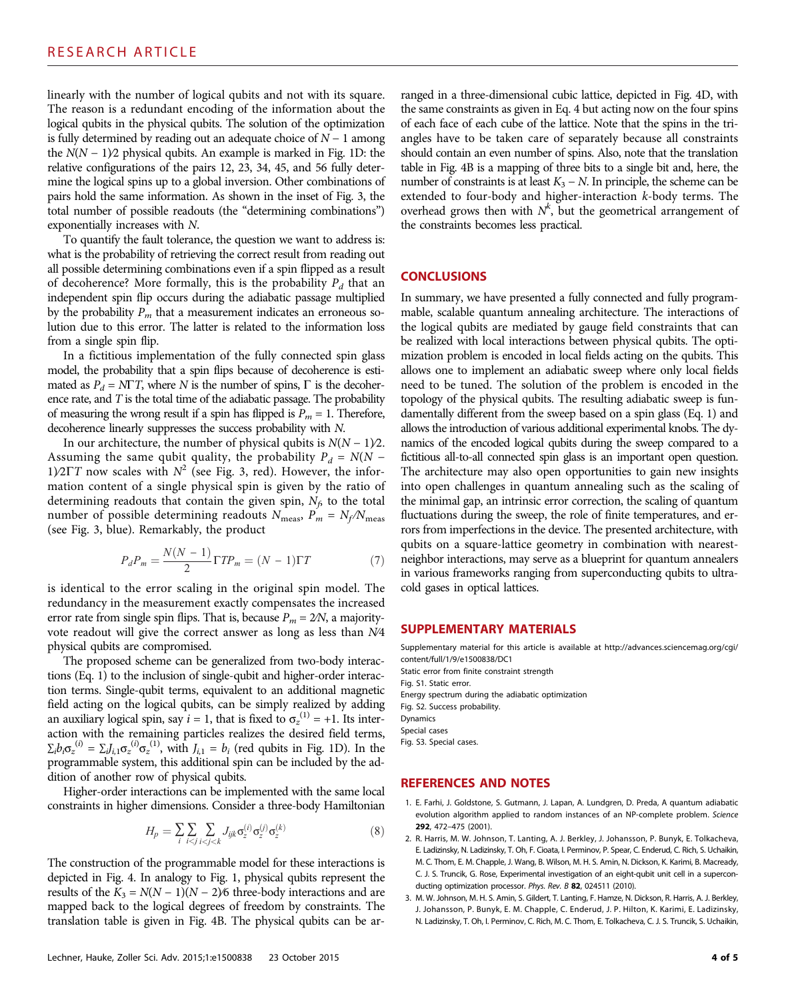linearly with the number of logical qubits and not with its square. The reason is a redundant encoding of the information about the logical qubits in the physical qubits. The solution of the optimization is fully determined by reading out an adequate choice of  $N - 1$  among the  $N(N - 1)$ <sup>2</sup> physical qubits. An example is marked in Fig. 1D: the relative configurations of the pairs 12, 23, 34, 45, and 56 fully determine the logical spins up to a global inversion. Other combinations of pairs hold the same information. As shown in the inset of Fig. 3, the total number of possible readouts (the "determining combinations") exponentially increases with N.

To quantify the fault tolerance, the question we want to address is: what is the probability of retrieving the correct result from reading out all possible determining combinations even if a spin flipped as a result of decoherence? More formally, this is the probability  $P_d$  that an independent spin flip occurs during the adiabatic passage multiplied by the probability  $P_m$  that a measurement indicates an erroneous solution due to this error. The latter is related to the information loss from a single spin flip.

In a fictitious implementation of the fully connected spin glass model, the probability that a spin flips because of decoherence is estimated as  $P_d = N\Gamma T$ , where N is the number of spins,  $\Gamma$  is the decoherence rate, and  $T$  is the total time of the adiabatic passage. The probability of measuring the wrong result if a spin has flipped is  $P_m = 1$ . Therefore, decoherence linearly suppresses the success probability with N.

In our architecture, the number of physical qubits is  $N(N - 1)/2$ . Assuming the same qubit quality, the probability  $P_d = N(N -$ 1)⁄2 $\Gamma T$  now scales with  $N^2$  (see Fig. 3, red). However, the information content of a single physical spin is given by the ratio of determining readouts that contain the given spin,  $N_f$  to the total number of possible determining readouts  $N_{\text{meas}}$ ,  $P_m = N_f/N_{\text{meas}}$ (see Fig. 3, blue). Remarkably, the product

$$
P_d P_m = \frac{N(N-1)}{2} \Gamma T P_m = (N-1) \Gamma T \tag{7}
$$

is identical to the error scaling in the original spin model. The redundancy in the measurement exactly compensates the increased error rate from single spin flips. That is, because  $P_m = 2/N$ , a majorityvote readout will give the correct answer as long as less than N∕4 physical qubits are compromised.

The proposed scheme can be generalized from two-body interactions (Eq. 1) to the inclusion of single-qubit and higher-order interaction terms. Single-qubit terms, equivalent to an additional magnetic field acting on the logical qubits, can be simply realized by adding an auxiliary logical spin, say  $i = 1$ , that is fixed to  $\sigma_z^{(1)} = +1$ . Its interaction with the remaining particles realizes the desired field terms,  $\Sigma_i b_i \sigma_z^{(i)} = \Sigma_j J_{i,1} \sigma_z^{(i)} \sigma_z^{(1)}$ , with  $J_{i,1} = b_i$  (red qubits in Fig. 1D). In the programmable system, this additional spin can be included by the addition of another row of physical qubits.

Higher-order interactions can be implemented with the same local constraints in higher dimensions. Consider a three-body Hamiltonian

$$
H_p = \sum_{i} \sum_{i < j} \sum_{i < j < k} J_{ijk} \sigma_2^{(i)} \sigma_2^{(j)} \sigma_2^{(k)} \tag{8}
$$

The construction of the programmable model for these interactions is depicted in Fig. 4. In analogy to Fig. 1, physical qubits represent the results of the  $K_3 = N(N-1)(N-2)$ % three-body interactions and are mapped back to the logical degrees of freedom by constraints. The translation table is given in Fig. 4B. The physical qubits can be arranged in a three-dimensional cubic lattice, depicted in Fig. 4D, with the same constraints as given in Eq. 4 but acting now on the four spins of each face of each cube of the lattice. Note that the spins in the triangles have to be taken care of separately because all constraints should contain an even number of spins. Also, note that the translation table in Fig. 4B is a mapping of three bits to a single bit and, here, the number of constraints is at least  $K_3 - N$ . In principle, the scheme can be extended to four-body and higher-interaction k-body terms. The overhead grows then with  $N^k$ , but the geometrical arrangement of the constraints becomes less practical.

#### **CONCLUSIONS**

In summary, we have presented a fully connected and fully programmable, scalable quantum annealing architecture. The interactions of the logical qubits are mediated by gauge field constraints that can be realized with local interactions between physical qubits. The optimization problem is encoded in local fields acting on the qubits. This allows one to implement an adiabatic sweep where only local fields need to be tuned. The solution of the problem is encoded in the topology of the physical qubits. The resulting adiabatic sweep is fundamentally different from the sweep based on a spin glass (Eq. 1) and allows the introduction of various additional experimental knobs. The dynamics of the encoded logical qubits during the sweep compared to a fictitious all-to-all connected spin glass is an important open question. The architecture may also open opportunities to gain new insights into open challenges in quantum annealing such as the scaling of the minimal gap, an intrinsic error correction, the scaling of quantum fluctuations during the sweep, the role of finite temperatures, and errors from imperfections in the device. The presented architecture, with qubits on a square-lattice geometry in combination with nearestneighbor interactions, may serve as a blueprint for quantum annealers in various frameworks ranging from superconducting qubits to ultracold gases in optical lattices.

#### SUPPLEMENTARY MATERIALS

Supplementary material for this article is available at [http://advances.sciencemag.org/cgi/](http://advances.sciencemag.org/cgi/content/full/1/9/e1500838/DC1) [content/full/1/9/e1500838/DC1](http://advances.sciencemag.org/cgi/content/full/1/9/e1500838/DC1) Static error from finite constraint strength Fig. S1. Static error.

Energy spectrum during the adiabatic optimization Fig. S2. Success probability. Dynamics Special cases Fig. S3. Special cases.

### REFERENCES AND NOTES

- 1. E. Farhi, J. Goldstone, S. Gutmann, J. Lapan, A. Lundgren, D. Preda, A quantum adiabatic evolution algorithm applied to random instances of an NP-complete problem. Science 292, 472–475 (2001).
- 2. R. Harris, M. W. Johnson, T. Lanting, A. J. Berkley, J. Johansson, P. Bunyk, E. Tolkacheva, E. Ladizinsky, N. Ladizinsky, T. Oh, F. Cioata, I. Perminov, P. Spear, C. Enderud, C. Rich, S. Uchaikin, M. C. Thom, E. M. Chapple, J. Wang, B. Wilson, M. H. S. Amin, N. Dickson, K. Karimi, B. Macready, C. J. S. Truncik, G. Rose, Experimental investigation of an eight-qubit unit cell in a superconducting optimization processor. Phys. Rev. B 82, 024511 (2010).
- 3. M. W. Johnson, M. H. S. Amin, S. Gildert, T. Lanting, F. Hamze, N. Dickson, R. Harris, A. J. Berkley, J. Johansson, P. Bunyk, E. M. Chapple, C. Enderud, J. P. Hilton, K. Karimi, E. Ladizinsky, N. Ladizinsky, T. Oh, I. Perminov, C. Rich, M. C. Thom, E. Tolkacheva, C. J. S. Truncik, S. Uchaikin,